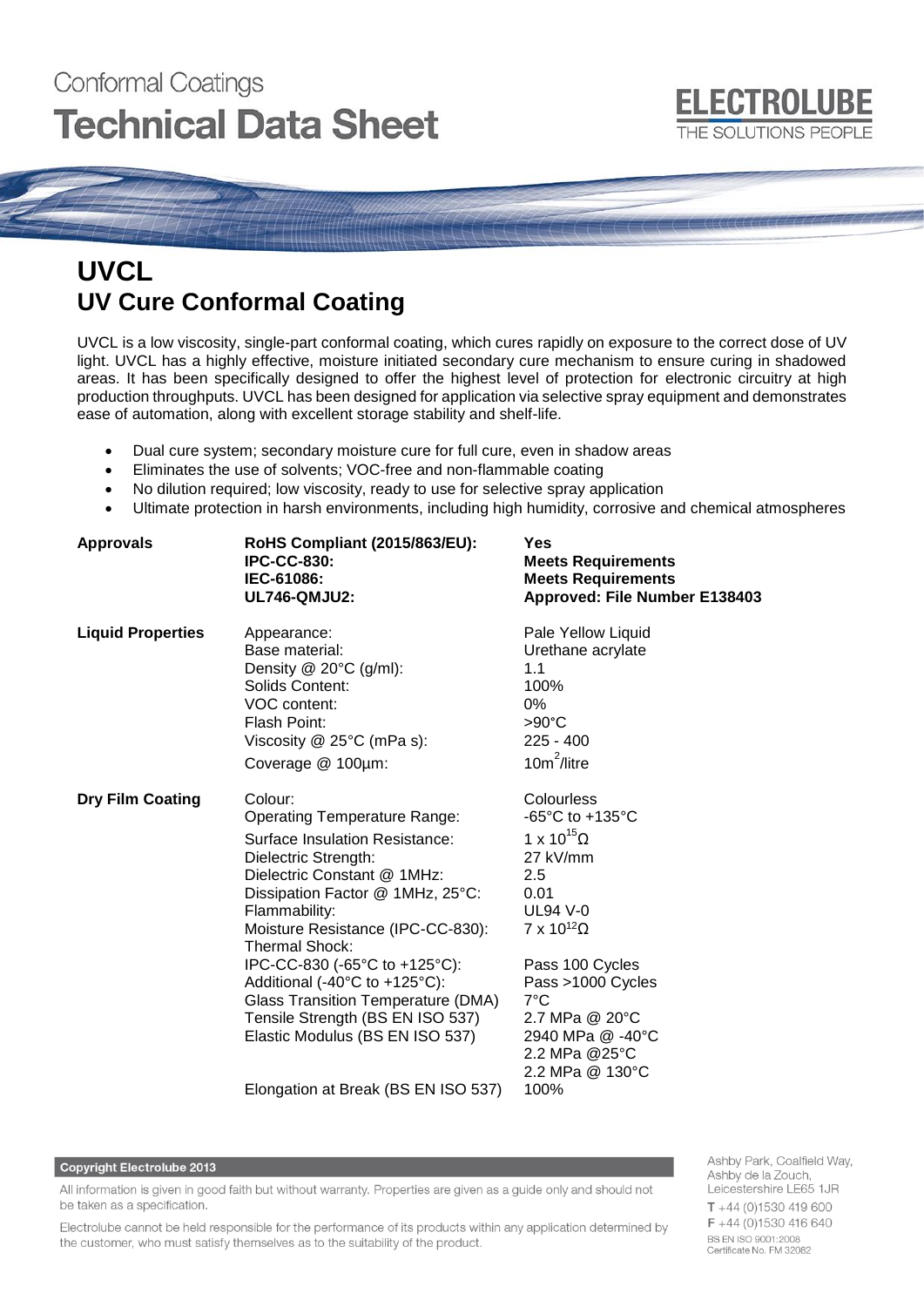# **Conformal Coatings Technical Data Sheet**



# **UVCL UV Cure Conformal Coating**

UVCL is a low viscosity, single-part conformal coating, which cures rapidly on exposure to the correct dose of UV light. UVCL has a highly effective, moisture initiated secondary cure mechanism to ensure curing in shadowed areas. It has been specifically designed to offer the highest level of protection for electronic circuitry at high production throughputs. UVCL has been designed for application via selective spray equipment and demonstrates ease of automation, along with excellent storage stability and shelf-life.

- Dual cure system; secondary moisture cure for full cure, even in shadow areas
- Eliminates the use of solvents; VOC-free and non-flammable coating
- No dilution required; low viscosity, ready to use for selective spray application
- Ultimate protection in harsh environments, including high humidity, corrosive and chemical atmospheres

| <b>Approvals</b>         | RoHS Compliant (2015/863/EU):<br><b>IPC-CC-830:</b><br>IEC-61086:<br><b>UL746-QMJU2:</b>                                                                                                                                                                                                                                                                                                                                                                                                       | Yes<br><b>Meets Requirements</b><br><b>Meets Requirements</b><br>Approved: File Number E138403                                                                                                                                                                      |  |  |
|--------------------------|------------------------------------------------------------------------------------------------------------------------------------------------------------------------------------------------------------------------------------------------------------------------------------------------------------------------------------------------------------------------------------------------------------------------------------------------------------------------------------------------|---------------------------------------------------------------------------------------------------------------------------------------------------------------------------------------------------------------------------------------------------------------------|--|--|
| <b>Liquid Properties</b> | Appearance:<br>Base material:<br>Density @ 20°C (g/ml):<br>Solids Content:<br>VOC content:<br>Flash Point:<br>Viscosity @ 25°C (mPa s):<br>Coverage @ 100µm:                                                                                                                                                                                                                                                                                                                                   | Pale Yellow Liquid<br>Urethane acrylate<br>1.1<br>100%<br>0%<br>$>90^{\circ}$ C<br>$225 - 400$<br>$10m^2$ /litre                                                                                                                                                    |  |  |
| <b>Dry Film Coating</b>  | Colour:<br><b>Operating Temperature Range:</b><br><b>Surface Insulation Resistance:</b><br>Dielectric Strength:<br>Dielectric Constant @ 1MHz:<br>Dissipation Factor @ 1MHz, 25°C:<br>Flammability:<br>Moisture Resistance (IPC-CC-830):<br><b>Thermal Shock:</b><br>IPC-CC-830 (-65°C to +125°C):<br>Additional (-40°C to +125°C):<br><b>Glass Transition Temperature (DMA)</b><br>Tensile Strength (BS EN ISO 537)<br>Elastic Modulus (BS EN ISO 537)<br>Elongation at Break (BS EN ISO 537) | Colourless<br>-65°C to +135°C<br>1 x 10 <sup>15</sup> Ω<br>27 kV/mm<br>2.5<br>0.01<br><b>UL94 V-0</b><br>$7 \times 10^{12} \Omega$<br>Pass 100 Cycles<br>Pass >1000 Cycles<br>7°C<br>2.7 MPa @ 20°C<br>2940 MPa @ -40°C<br>2.2 MPa @25°C<br>2.2 MPa @ 130°C<br>100% |  |  |

#### **Copyright Electrolube 2013**

All information is given in good faith but without warranty. Properties are given as a guide only and should not be taken as a specification.

Electrolube cannot be held responsible for the performance of its products within any application determined by the customer, who must satisfy themselves as to the suitability of the product.

Ashby Park, Coalfield Way, Ashby de la Zouch, Leicestershire LE65 1JR  $T + 44$  (0)1530 419 600 F +44 (0)1530 416 640 BS EN ISO 9001:2008 Certificate No. FM 32082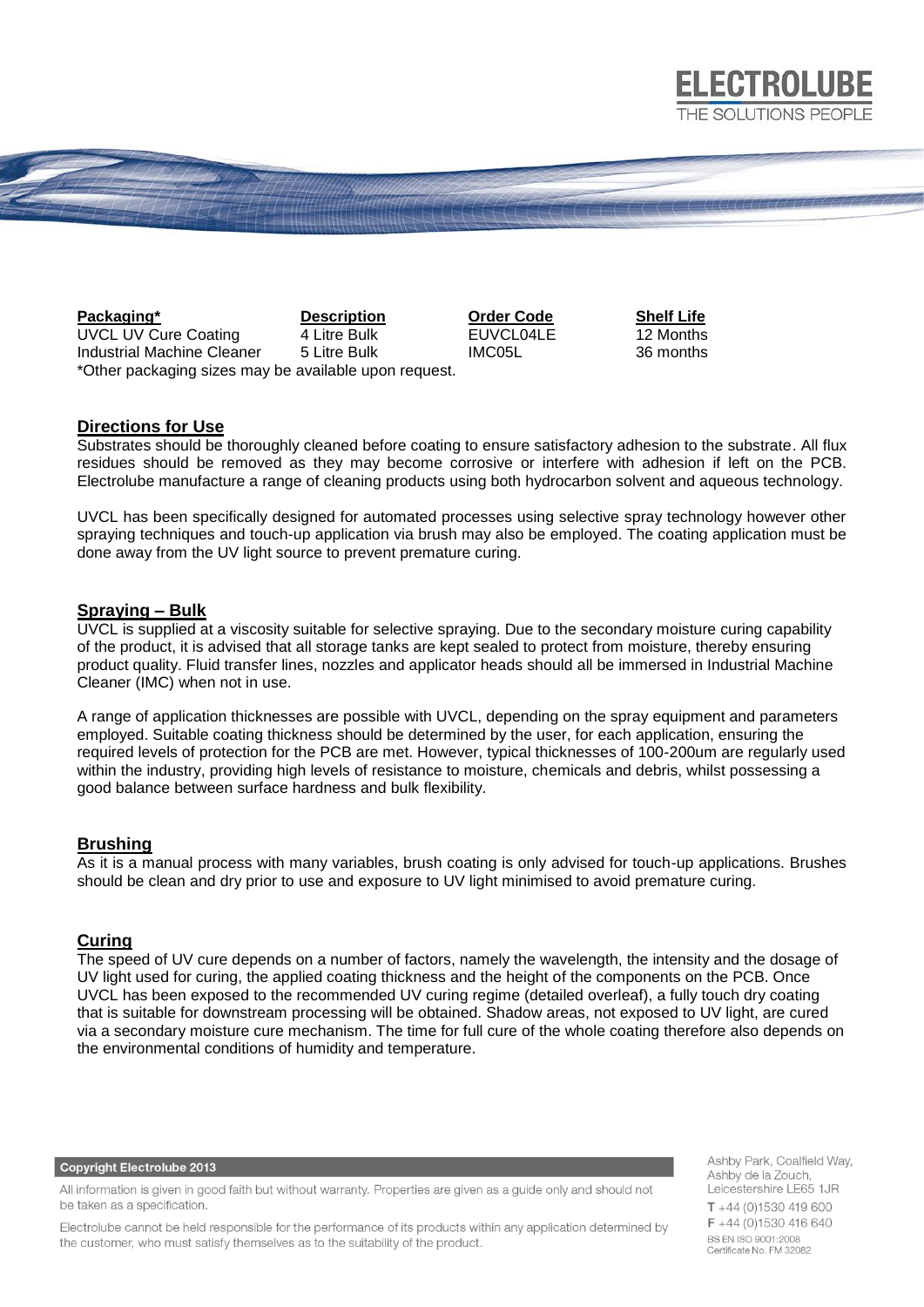

**Packaging\* Description Order Code Shelf Life** UVCL UV Cure Coating 4 Litre Bulk EUVCL04LE 12 Months Industrial Machine Cleaner 5 Litre Bulk IMC05L 36 months \*Other packaging sizes may be available upon request.

**ELECTROLUBE** 

## **Directions for Use**

Substrates should be thoroughly cleaned before coating to ensure satisfactory adhesion to the substrate. All flux residues should be removed as they may become corrosive or interfere with adhesion if left on the PCB. Electrolube manufacture a range of cleaning products using both hydrocarbon solvent and aqueous technology.

UVCL has been specifically designed for automated processes using selective spray technology however other spraying techniques and touch-up application via brush may also be employed. The coating application must be done away from the UV light source to prevent premature curing.

# **Spraying – Bulk**

UVCL is supplied at a viscosity suitable for selective spraying. Due to the secondary moisture curing capability of the product, it is advised that all storage tanks are kept sealed to protect from moisture, thereby ensuring product quality. Fluid transfer lines, nozzles and applicator heads should all be immersed in Industrial Machine Cleaner (IMC) when not in use.

A range of application thicknesses are possible with UVCL, depending on the spray equipment and parameters employed. Suitable coating thickness should be determined by the user, for each application, ensuring the required levels of protection for the PCB are met. However, typical thicknesses of 100-200um are regularly used within the industry, providing high levels of resistance to moisture, chemicals and debris, whilst possessing a good balance between surface hardness and bulk flexibility.

## **Brushing**

As it is a manual process with many variables, brush coating is only advised for touch-up applications. Brushes should be clean and dry prior to use and exposure to UV light minimised to avoid premature curing.

## **Curing**

The speed of UV cure depends on a number of factors, namely the wavelength, the intensity and the dosage of UV light used for curing, the applied coating thickness and the height of the components on the PCB. Once UVCL has been exposed to the recommended UV curing regime (detailed overleaf), a fully touch dry coating that is suitable for downstream processing will be obtained. Shadow areas, not exposed to UV light, are cured via a secondary moisture cure mechanism. The time for full cure of the whole coating therefore also depends on the environmental conditions of humidity and temperature.

**Copyright Electrolube 2013** 

All information is given in good faith but without warranty. Properties are given as a guide only and should not be taken as a specification.

Electrolube cannot be held responsible for the performance of its products within any application determined by the customer, who must satisfy themselves as to the suitability of the product.

Ashby Park, Coalfield Way, Ashby de la Zouch, Leicestershire LE65 1JR  $T + 44$  (0)1530 419 600 F +44 (0)1530 416 640 BS EN ISO 9001:2008 Certificate No. FM 32082